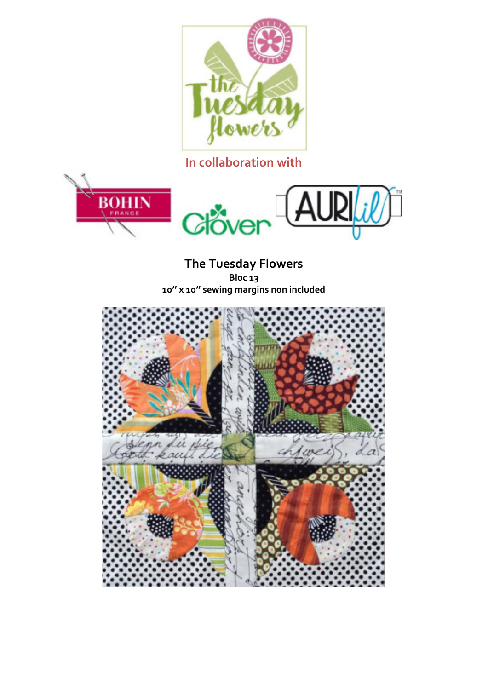

## **In collaboration with**



**The Tuesday Flowers Bloc 13 10'' x 10'' sewing margins non included**

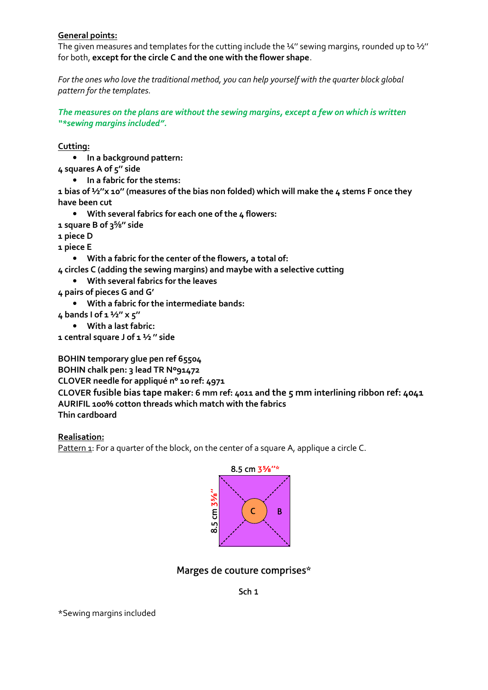## **General points:**

The given measures and templates for the cutting include the ¼" sewing margins, rounded up to 1⁄2" for both, **except for the circle C and the one with the flower shape**.

*For the ones who love the traditional method, you can help yourself with the quarter block global pattern for the templates.*

*The measures on the plans are without the sewing margins, except a few on which is written "\*sewing margins included".*

**Cutting:**

• **In a background pattern:**

- **4 squares A of 5'' side**
	- **In a fabric for the stems:**

**1 bias of ½''x 10'' (measures of the bias non folded) which will make the 4 stems F once they have been cut**

- **With several fabrics for each one of the 4 flowers:**
- **1 square B of 3⅝'' side**
- **1 piece D**
- **1 piece E**

• **With a fabric for the center of the flowers, a total of:**

- **4 circles C (adding the sewing margins) and maybe with a selective cutting**
	- **With several fabrics for the leaves**
- **4 pairs of pieces G and G'**
	- **With a fabric for the intermediate bands:**
- **4 bands I of 1 ½'' x 5''**
	- **With a last fabric:**
- **1 central square J of 1 ½ '' side**

**BOHIN temporary glue pen ref 65504**

**BOHIN chalk pen: 3 lead TR Nº91472**

**CLOVER needle for appliqué n° 10 ref: 4971**

**CLOVER fusible bias tape maker: 6 mm ref: 4011 and the 5 mm interlining ribbon ref: 4041 AURIFIL 100% cotton threads which match with the fabrics Thin cardboard**

**Realisation:**

Pattern 1: For a quarter of the block, on the center of a square A, applique a circle C.



## Marges de couture comprises\*

## Sch<sub>1</sub>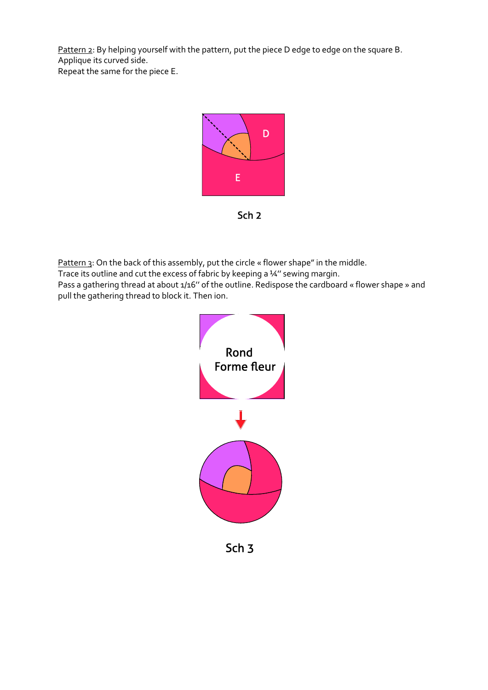Pattern 2: By helping yourself with the pattern, put the piece D edge to edge on the square B. Applique its curved side. Repeat the same for the piece E.



Sch<sub>2</sub>

Pattern 3: On the back of this assembly, put the circle « flower shape" in the middle. Trace its outline and cut the excess of fabric by keeping a 14" sewing margin. Pass a gathering thread at about 1/16'' of the outline. Redispose the cardboard « flower shape » and pull the gathering thread to block it. Then ion.



Sch<sub>3</sub>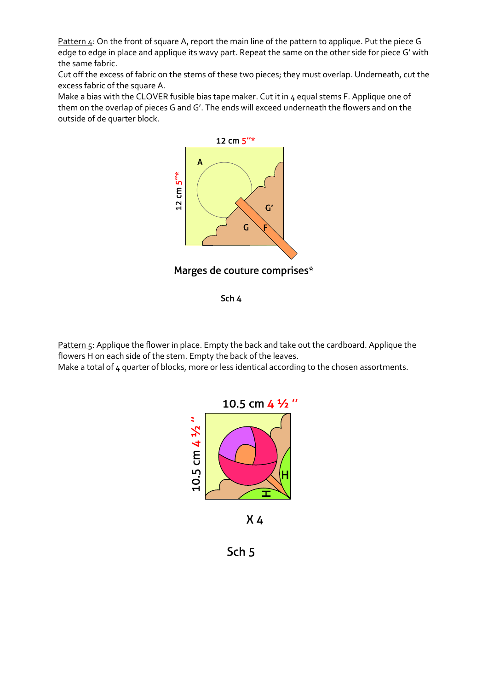Pattern 4: On the front of square A, report the main line of the pattern to applique. Put the piece G edge to edge in place and applique its wavy part. Repeat the same on the other side for piece G' with the same fabric.

Cut off the excess of fabric on the stems of these two pieces; they must overlap. Underneath, cut the excess fabric of the square A.

Make a bias with the CLOVER fusible bias tape maker. Cut it in 4 equal stems F. Applique one of them on the overlap of pieces G and G'. The ends will exceed underneath the flowers and on the outside of de quarter block.



Sch 4

Pattern 5: Applique the flower in place. Empty the back and take out the cardboard. Applique the flowers H on each side of the stem. Empty the back of the leaves. Make a total of 4 quarter of blocks, more or less identical according to the chosen assortments.



 $X_4$ 

Sch<sub>5</sub>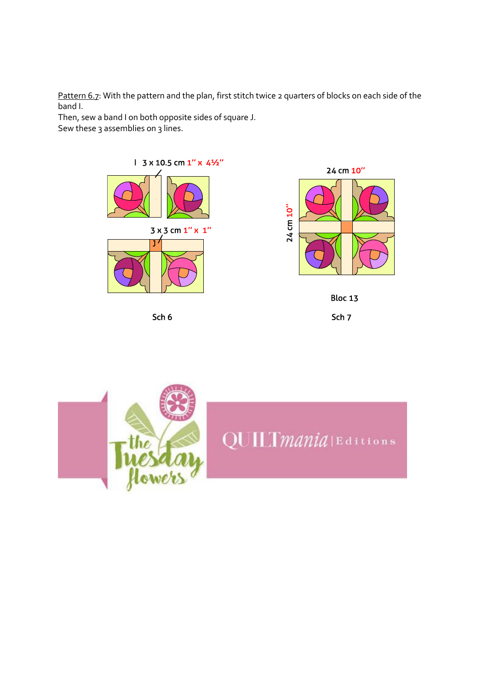Pattern 6.7: With the pattern and the plan, first stitch twice 2 quarters of blocks on each side of the band I.

Then, sew a band I on both opposite sides of square J. Sew these 3 assemblies on 3 lines.



Sch 6